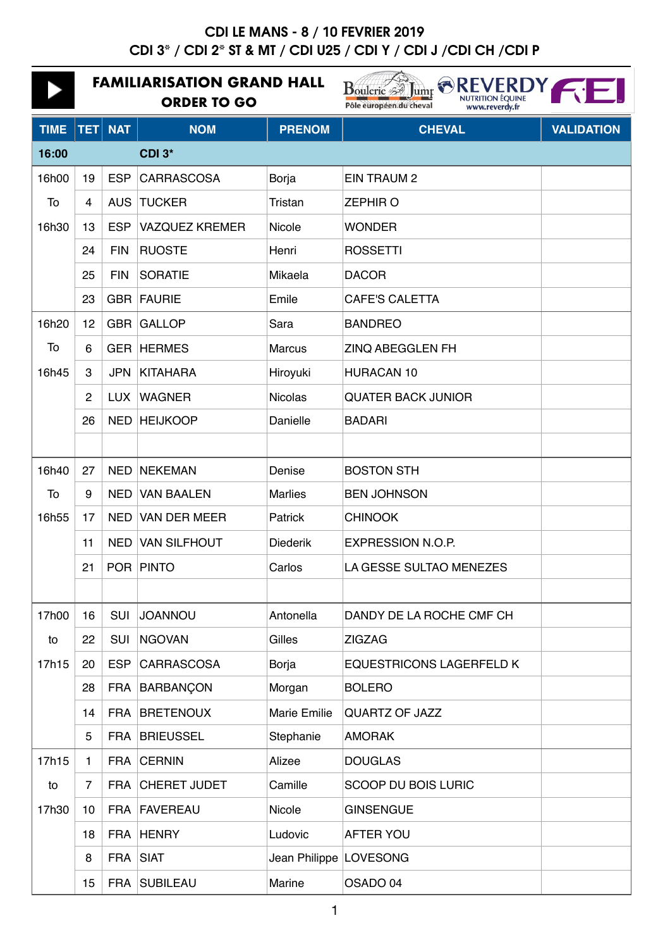|             | <b>FAMILIARISATION GRAND HALL</b><br><b>ORDER TO GO</b> |            |                       |                          | <b>REVERDY</b><br>$B$ oulerie<br>lump<br><b>NUTRITION ÉQUINE</b><br>Pôle européen du cheval<br>www.reverdy.fr |                   |  |
|-------------|---------------------------------------------------------|------------|-----------------------|--------------------------|---------------------------------------------------------------------------------------------------------------|-------------------|--|
| <b>TIME</b> | <b>TET</b>                                              | <b>NAT</b> | <b>NOM</b>            | <b>PRENOM</b>            | <b>CHEVAL</b>                                                                                                 | <b>VALIDATION</b> |  |
| 16:00       |                                                         |            | CDI 3*                |                          |                                                                                                               |                   |  |
| 16h00       | 19                                                      | <b>ESP</b> | <b>CARRASCOSA</b>     | Borja                    | <b>EIN TRAUM 2</b>                                                                                            |                   |  |
| To          | 4                                                       | <b>AUS</b> | <b>TUCKER</b>         | Tristan                  | <b>ZEPHIRO</b>                                                                                                |                   |  |
| 16h30       | 13                                                      | <b>ESP</b> | <b>VAZQUEZ KREMER</b> | Nicole                   | <b>WONDER</b>                                                                                                 |                   |  |
|             | 24                                                      | <b>FIN</b> | <b>RUOSTE</b>         | Henri                    | <b>ROSSETTI</b>                                                                                               |                   |  |
|             | 25                                                      | <b>FIN</b> | <b>SORATIE</b>        | Mikaela                  | <b>DACOR</b>                                                                                                  |                   |  |
|             | 23                                                      | GBR        | FAURIE                | Emile                    | <b>CAFE'S CALETTA</b>                                                                                         |                   |  |
| 16h20       | 12                                                      | <b>GBR</b> | <b>GALLOP</b>         | Sara                     | <b>BANDREO</b>                                                                                                |                   |  |
| To          | 6                                                       | GER        | <b>HERMES</b>         | <b>Marcus</b>            | ZINQ ABEGGLEN FH                                                                                              |                   |  |
| 16h45       | 3                                                       | <b>JPN</b> | <b>KITAHARA</b>       | Hiroyuki                 | <b>HURACAN 10</b>                                                                                             |                   |  |
|             | 2                                                       | <b>LUX</b> | <b>WAGNER</b>         | <b>Nicolas</b>           | <b>QUATER BACK JUNIOR</b>                                                                                     |                   |  |
|             | 26                                                      | <b>NED</b> | <b>HEIJKOOP</b>       | Danielle                 | <b>BADARI</b>                                                                                                 |                   |  |
|             |                                                         |            |                       |                          |                                                                                                               |                   |  |
| 16h40       | 27                                                      | <b>NED</b> | <b>NEKEMAN</b>        | Denise                   | <b>BOSTON STH</b>                                                                                             |                   |  |
| To          | 9                                                       | NED.       | <b>VAN BAALEN</b>     | <b>Marlies</b>           | <b>BEN JOHNSON</b>                                                                                            |                   |  |
| 16h55       | 17                                                      | <b>NED</b> | <b>VAN DER MEER</b>   | Patrick                  | <b>CHINOOK</b>                                                                                                |                   |  |
|             | 11                                                      | <b>NED</b> | <b>VAN SILFHOUT</b>   | <b>Diederik</b>          | <b>EXPRESSION N.O.P.</b>                                                                                      |                   |  |
|             | 21                                                      |            | POR PINTO             | Carlos                   | LA GESSE SULTAO MENEZES                                                                                       |                   |  |
|             |                                                         |            |                       |                          |                                                                                                               |                   |  |
| 17h00       | 16                                                      | <b>SUI</b> | <b>JOANNOU</b>        | Antonella                | DANDY DE LA ROCHE CMF CH                                                                                      |                   |  |
| to          | 22                                                      | SUI        | <b>NGOVAN</b>         | Gilles                   | <b>ZIGZAG</b>                                                                                                 |                   |  |
| 17h15       | 20                                                      | <b>ESP</b> | <b>CARRASCOSA</b>     | Borja                    | <b>EQUESTRICONS LAGERFELD K</b>                                                                               |                   |  |
|             | 28                                                      | FRA        | <b>BARBANÇON</b>      | Morgan                   | <b>BOLERO</b>                                                                                                 |                   |  |
|             | 14                                                      | <b>FRA</b> | <b>BRETENOUX</b>      | <b>Marie Emilie</b>      | <b>QUARTZ OF JAZZ</b>                                                                                         |                   |  |
|             | 5                                                       | <b>FRA</b> | <b>BRIEUSSEL</b>      | Stephanie                | <b>AMORAK</b>                                                                                                 |                   |  |
| 17h15       | 1.                                                      | <b>FRA</b> | <b>CERNIN</b>         | Alizee                   | <b>DOUGLAS</b>                                                                                                |                   |  |
| to          | $\overline{7}$                                          | <b>FRA</b> | <b>CHERET JUDET</b>   | Camille                  | <b>SCOOP DU BOIS LURIC</b>                                                                                    |                   |  |
| 17h30       | 10                                                      | FRA        | FAVEREAU              | Nicole                   | <b>GINSENGUE</b>                                                                                              |                   |  |
|             | 18                                                      | <b>FRA</b> | <b>HENRY</b>          | Ludovic                  | <b>AFTER YOU</b>                                                                                              |                   |  |
|             | 8                                                       | <b>FRA</b> | <b>SIAT</b>           | Jean Philippe   LOVESONG |                                                                                                               |                   |  |
|             | 15                                                      | <b>FRA</b> | <b>SUBILEAU</b>       | Marine                   | OSADO 04                                                                                                      |                   |  |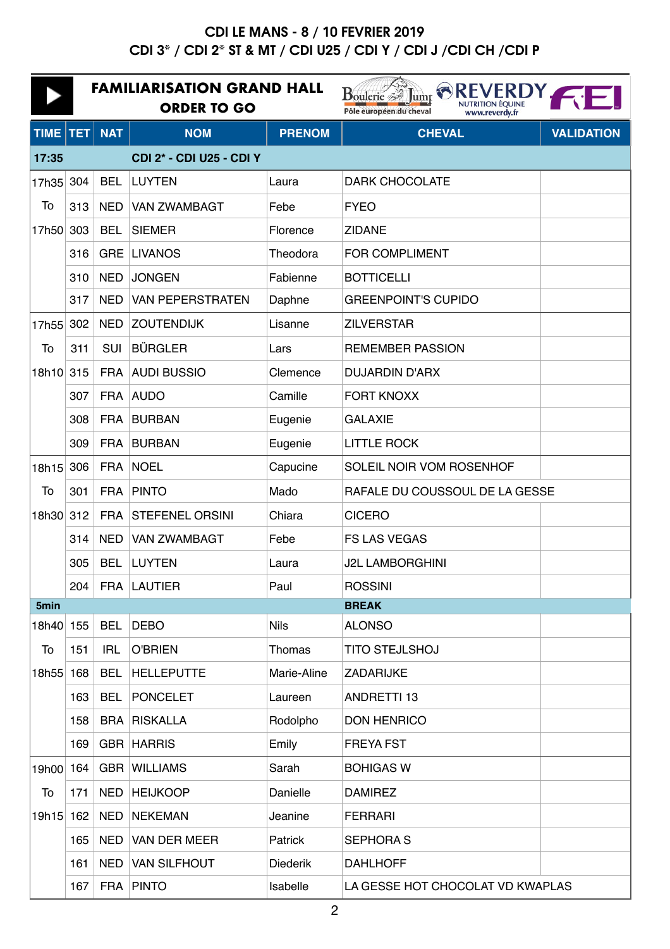|             | <b>FAMILIARISATION GRAND HALL</b><br><b>ORDER TO GO</b> |            |                                 |                 | Boulerie <sup>35</sup> Jump <sup>NREVERDY</sup> .<br><b>NUTRITION ÉQUINE</b><br>Pôle européen du cheval<br>www.reverdy.fr |                   |  |
|-------------|---------------------------------------------------------|------------|---------------------------------|-----------------|---------------------------------------------------------------------------------------------------------------------------|-------------------|--|
| <b>TIME</b> | <b>TET</b>                                              | <b>NAT</b> | <b>NOM</b>                      | <b>PRENOM</b>   | <b>CHEVAL</b>                                                                                                             | <b>VALIDATION</b> |  |
| 17:35       |                                                         |            | <b>CDI 2* - CDI U25 - CDI Y</b> |                 |                                                                                                                           |                   |  |
| 17h35       | 304                                                     | <b>BEL</b> | <b>LUYTEN</b>                   | Laura           | <b>DARK CHOCOLATE</b>                                                                                                     |                   |  |
| To          | 313                                                     | <b>NED</b> | <b>VAN ZWAMBAGT</b>             | Febe            | <b>FYEO</b>                                                                                                               |                   |  |
| 17h50 303   |                                                         | <b>BEL</b> | <b>SIEMER</b>                   | Florence        | <b>ZIDANE</b>                                                                                                             |                   |  |
|             | 316                                                     | <b>GRE</b> | <b>LIVANOS</b>                  | Theodora        | <b>FOR COMPLIMENT</b>                                                                                                     |                   |  |
|             | 310                                                     | <b>NED</b> | <b>JONGEN</b>                   | Fabienne        | <b>BOTTICELLI</b>                                                                                                         |                   |  |
|             | 317                                                     | <b>NED</b> | <b>VAN PEPERSTRATEN</b>         | Daphne          | <b>GREENPOINT'S CUPIDO</b>                                                                                                |                   |  |
| 17h55       | 302                                                     | <b>NED</b> | <b>ZOUTENDIJK</b>               | Lisanne         | <b>ZILVERSTAR</b>                                                                                                         |                   |  |
| To          | 311                                                     | <b>SUI</b> | <b>BÜRGLER</b>                  | Lars            | <b>REMEMBER PASSION</b>                                                                                                   |                   |  |
| 18h10 315   |                                                         |            | FRA AUDI BUSSIO                 | Clemence        | <b>DUJARDIN D'ARX</b>                                                                                                     |                   |  |
|             | 307                                                     |            | FRA AUDO                        | Camille         | <b>FORT KNOXX</b>                                                                                                         |                   |  |
|             | 308                                                     | <b>FRA</b> | BURBAN                          | Eugenie         | <b>GALAXIE</b>                                                                                                            |                   |  |
|             | 309                                                     | <b>FRA</b> | <b>BURBAN</b>                   | Eugenie         | <b>LITTLE ROCK</b>                                                                                                        |                   |  |
| 18h15       | 306                                                     | <b>FRA</b> | <b>NOEL</b>                     | Capucine        | SOLEIL NOIR VOM ROSENHOF                                                                                                  |                   |  |
| To          | 301                                                     | <b>FRA</b> | <b>PINTO</b>                    | Mado            | RAFALE DU COUSSOUL DE LA GESSE                                                                                            |                   |  |
| 18h30 312   |                                                         |            | FRA STEFENEL ORSINI             | Chiara          | <b>CICERO</b>                                                                                                             |                   |  |
|             | 314                                                     | <b>NED</b> | <b>VAN ZWAMBAGT</b>             | Febe            | <b>FS LAS VEGAS</b>                                                                                                       |                   |  |
|             | 305                                                     | <b>BEL</b> | <b>LUYTEN</b>                   | Laura           | <b>J2L LAMBORGHINI</b>                                                                                                    |                   |  |
|             | 204                                                     |            | FRA LAUTIER                     | Paul            | <b>ROSSINI</b>                                                                                                            |                   |  |
| 5min        |                                                         |            |                                 |                 | <b>BREAK</b>                                                                                                              |                   |  |
| 18h40 155   |                                                         | <b>BEL</b> | <b>DEBO</b>                     | <b>Nils</b>     | <b>ALONSO</b>                                                                                                             |                   |  |
| To          | 151                                                     | <b>IRL</b> | <b>O'BRIEN</b>                  | Thomas          | <b>TITO STEJLSHOJ</b>                                                                                                     |                   |  |
| 18h55 168   |                                                         | <b>BEL</b> | <b>HELLEPUTTE</b>               | Marie-Aline     | ZADARIJKE                                                                                                                 |                   |  |
|             | 163                                                     | <b>BEL</b> | <b>PONCELET</b>                 | Laureen         | <b>ANDRETTI 13</b>                                                                                                        |                   |  |
|             | 158                                                     |            | <b>BRA RISKALLA</b>             | Rodolpho        | <b>DON HENRICO</b>                                                                                                        |                   |  |
|             | 169                                                     |            | <b>GBR HARRIS</b>               | Emily           | <b>FREYA FST</b>                                                                                                          |                   |  |
| 19h00       | 164                                                     |            | <b>GBR WILLIAMS</b>             | Sarah           | <b>BOHIGAS W</b>                                                                                                          |                   |  |
| To          | 171                                                     | <b>NED</b> | <b>HEIJKOOP</b>                 | Danielle        | <b>DAMIREZ</b>                                                                                                            |                   |  |
| 19h15 162   |                                                         | <b>NED</b> | NEKEMAN                         | Jeanine         | <b>FERRARI</b>                                                                                                            |                   |  |
|             | 165                                                     | <b>NED</b> | <b>VAN DER MEER</b>             | Patrick         | <b>SEPHORA S</b>                                                                                                          |                   |  |
|             | 161                                                     | <b>NED</b> | <b>VAN SILFHOUT</b>             | <b>Diederik</b> | <b>DAHLHOFF</b>                                                                                                           |                   |  |
|             | 167                                                     |            | FRA PINTO                       | Isabelle        | LA GESSE HOT CHOCOLAT VD KWAPLAS                                                                                          |                   |  |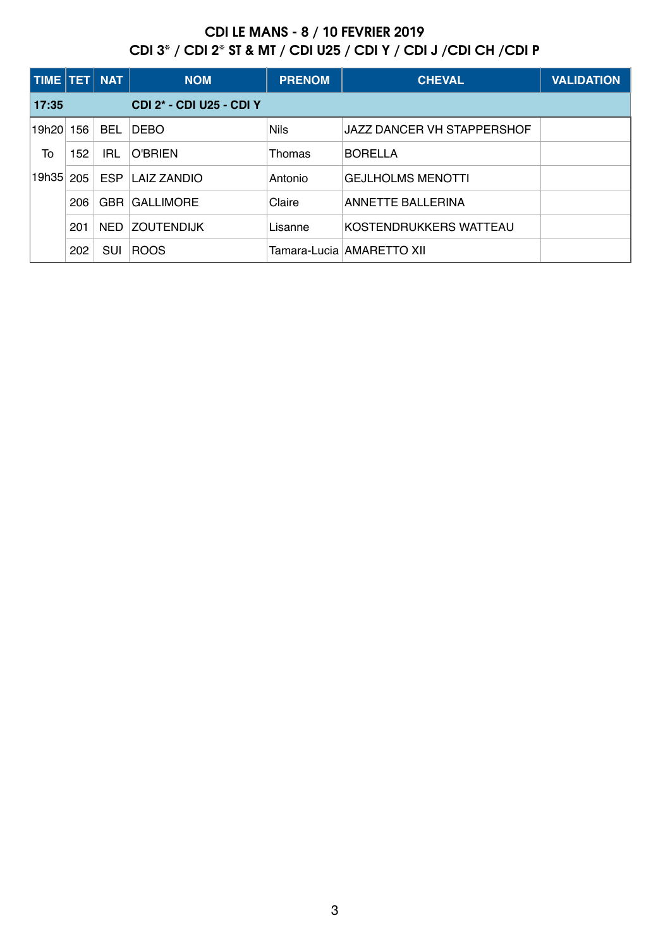| TIME TET |     | <b>NAT</b> | <b>NOM</b>                      | <b>PRENOM</b> | <b>CHEVAL</b>               | <b>VALIDATION</b> |
|----------|-----|------------|---------------------------------|---------------|-----------------------------|-------------------|
| 17:35    |     |            | <b>CDI 2* - CDI U25 - CDI Y</b> |               |                             |                   |
| l19h20l  | 156 | <b>BEL</b> | <b>DEBO</b>                     | <b>Nils</b>   | JAZZ DANCER VH STAPPERSHOF  |                   |
| To       | 152 | IRL        | O'BRIEN                         | Thomas        | <b>BORELLA</b>              |                   |
| 19h35    | 205 | <b>ESP</b> | <b>LAIZ ZANDIO</b>              | Antonio       | <b>GEJLHOLMS MENOTTI</b>    |                   |
|          | 206 | <b>GBR</b> | <b>GALLIMORE</b>                | Claire        | <b>ANNETTE BALLERINA</b>    |                   |
|          | 201 | <b>NED</b> | <b>ZOUTENDIJK</b>               | Lisanne       | KOSTENDRUKKERS WATTEAU      |                   |
|          | 202 | <b>SUI</b> | <b>ROOS</b>                     |               | Tamara-Lucia   AMARETTO XII |                   |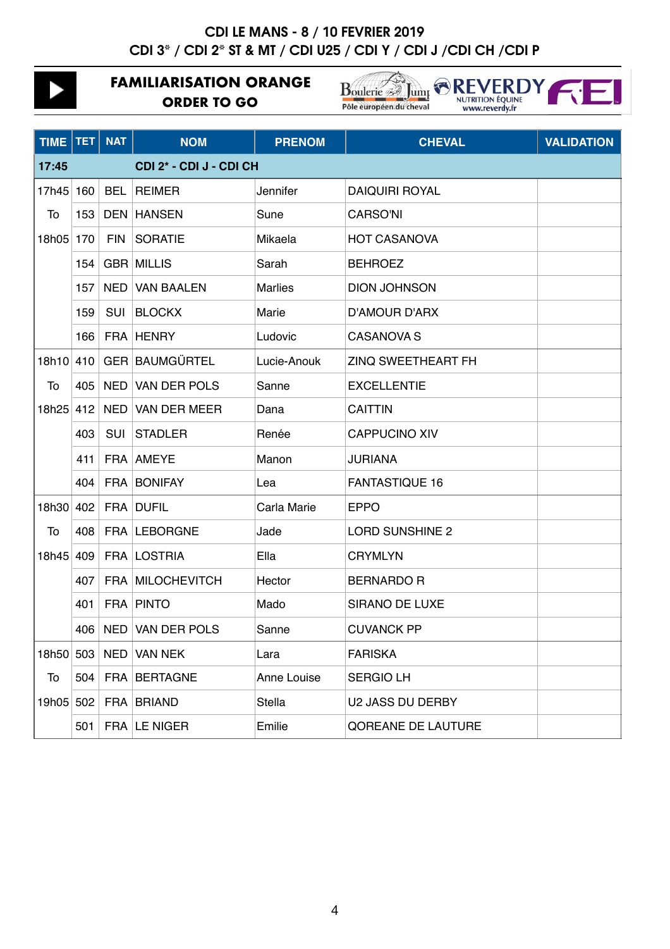## **CDI LE MANS - 8 / 10 FEVRIER 2019** CDI 3<sup>\*</sup> / CDI 2<sup>\*</sup> ST & MT / CDI U25 / CDI Y / CDI J / CDI CH / CDI P

|                                  |            | <b>FAMILIARISATION ORANGE</b><br><b>ORDER TO GO</b> |                     |                | <b>Boulerie 34 Jump</b><br><b>NUTRITION ÉQUINE</b><br>Pôle européen du cheval<br>www.reverdy.fr |                   |
|----------------------------------|------------|-----------------------------------------------------|---------------------|----------------|-------------------------------------------------------------------------------------------------|-------------------|
| TIME                             | <b>TET</b> | <b>NAT</b>                                          | <b>NOM</b>          | <b>PRENOM</b>  | <b>CHEVAL</b>                                                                                   | <b>VALIDATION</b> |
| 17:45<br>CDI 2* - CDI J - CDI CH |            |                                                     |                     |                |                                                                                                 |                   |
| 17h45                            | 160        | <b>BEL</b>                                          | <b>REIMER</b>       | Jennifer       | <b>DAIQUIRI ROYAL</b>                                                                           |                   |
| To                               | 153        | <b>DEN</b>                                          | <b>HANSEN</b>       | Sune           | <b>CARSO'NI</b>                                                                                 |                   |
| 18h05                            | 170        | <b>FIN</b>                                          | <b>SORATIE</b>      | Mikaela        | <b>HOT CASANOVA</b>                                                                             |                   |
|                                  | 154        |                                                     | <b>GBR MILLIS</b>   | Sarah          | <b>BEHROEZ</b>                                                                                  |                   |
|                                  | 157        | <b>NED</b>                                          | <b>VAN BAALEN</b>   | <b>Marlies</b> | <b>DION JOHNSON</b>                                                                             |                   |
|                                  | 159        | <b>SUI</b>                                          | <b>BLOCKX</b>       | Marie          | <b>D'AMOUR D'ARX</b>                                                                            |                   |
|                                  | 166        |                                                     | FRA HENRY           | Ludovic        | <b>CASANOVA S</b>                                                                               |                   |
| 18h10                            | 410        |                                                     | GER BAUMGÜRTEL      | Lucie-Anouk    | <b>ZINQ SWEETHEART FH</b>                                                                       |                   |
| To                               | 405        | <b>NED</b>                                          | <b>VAN DER POLS</b> | Sanne          | <b>EXCELLENTIE</b>                                                                              |                   |
| 18h25                            | 412        |                                                     | NED VAN DER MEER    | Dana           | <b>CAITTIN</b>                                                                                  |                   |
|                                  | 403        | SUI                                                 | <b>STADLER</b>      | Renée          | <b>CAPPUCINO XIV</b>                                                                            |                   |
|                                  | 411        |                                                     | FRA AMEYE           | Manon          | JURIANA                                                                                         |                   |
|                                  | 404        |                                                     | FRA BONIFAY         | Lea            | <b>FANTASTIQUE 16</b>                                                                           |                   |
| 18h30                            | 402        |                                                     | FRA DUFIL           | Carla Marie    | <b>EPPO</b>                                                                                     |                   |
| To                               | 408        |                                                     | FRA LEBORGNE        | Jade           | <b>LORD SUNSHINE 2</b>                                                                          |                   |
| 18h45                            | 409        |                                                     | FRA LOSTRIA         | Ella           | <b>CRYMLYN</b>                                                                                  |                   |
|                                  | 407        |                                                     | FRA MILOCHEVITCH    | Hector         | <b>BERNARDO R</b>                                                                               |                   |
|                                  | 401        |                                                     | <b>FRA PINTO</b>    | Mado           | <b>SIRANO DE LUXE</b>                                                                           |                   |
|                                  | 406        |                                                     | NED VAN DER POLS    | Sanne          | <b>CUVANCK PP</b>                                                                               |                   |
| 18h50                            | 503        |                                                     | NED VAN NEK         | Lara           | <b>FARISKA</b>                                                                                  |                   |
| To                               | 504        |                                                     | FRA BERTAGNE        | Anne Louise    | <b>SERGIO LH</b>                                                                                |                   |
| 19h05                            | 502        |                                                     | FRA BRIAND          | Stella         | U2 JASS DU DERBY                                                                                |                   |
|                                  | 501        |                                                     | FRA LE NIGER        | Emilie         | QOREANE DE LAUTURE                                                                              |                   |